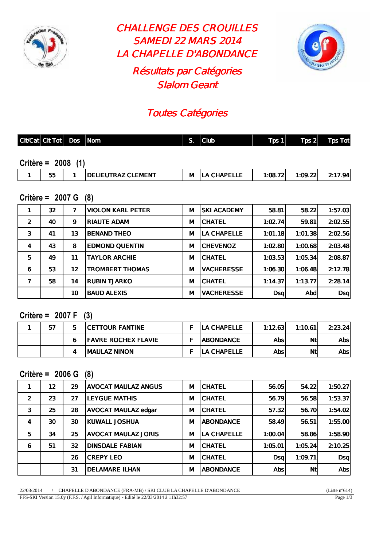

CHALLENGE DES CROUILLES SAMEDI 22 MARS 2014 LA CHAPELLE D'ABONDANCE Résultats par Catégories Slalom Geant



# Toutes Catégories

| $ $ Cit/Cat $ $ Cit Tot $ $ Dos $ $ Nom |  | S. | $ $ Club | $T_{DS}$ 1 | $\lceil \log 2 \rceil$ Tps Tot |
|-----------------------------------------|--|----|----------|------------|--------------------------------|
|                                         |  |    |          |            |                                |
| Critère = $2008$ (1)                    |  |    |          |            |                                |

| <b>TRAZ CLEMENT</b><br>--<br>.<br>$-$<br>.DE<br>$^{\circ}$ :08.<br>м<br>∎ъ⊾<br>$\mathbf{r}$<br><br>JJ.<br>---<br>$ -$<br>the contract of the contract of the contract of the contract of the contract of the contract of the contract of | ___ |  |  |  |     |
|------------------------------------------------------------------------------------------------------------------------------------------------------------------------------------------------------------------------------------------|-----|--|--|--|-----|
|                                                                                                                                                                                                                                          |     |  |  |  | Q4. |

#### **Critère = 2007 G (8)**

|                | 32 <sub>2</sub> | 7  | <b>VIOLON KARL PETER</b> | М | <b>SKI ACADEMY</b> | 58.81      | 58.22   | 1:57.03 |
|----------------|-----------------|----|--------------------------|---|--------------------|------------|---------|---------|
| $\overline{2}$ | 40              | 9  | <b>RIAUTE ADAM</b>       | М | <b>CHATEL</b>      | 1:02.74    | 59.81   | 2:02.55 |
| 3              | 41              | 13 | <b>BENAND THEO</b>       | М | LA CHAPELLE        | 1:01.18    | 1:01.38 | 2:02.56 |
| $\overline{4}$ | 43              | 8  | <b>EDMOND QUENTIN</b>    | М | <b>CHEVENOZ</b>    | 1:02.80    | 1:00.68 | 2:03.48 |
| 5              | 49              | 11 | <b>TAYLOR ARCHIE</b>     | М | <b>CHATEL</b>      | 1:03.53    | 1:05.34 | 2:08.87 |
| 6              | 53              | 12 | <b>TROMBERT THOMAS</b>   | М | <b>VACHERESSE</b>  | 1:06.30    | 1:06.48 | 2:12.78 |
| $\overline{1}$ | 58              | 14 | <b>RUBIN TJARKO</b>      | М | <b>CHATEL</b>      | 1:14.37    | 1:13.77 | 2:28.14 |
|                |                 | 10 | <b>BAUD ALEXIS</b>       | М | <b>VACHERESSE</b>  | <b>Dsq</b> | Abdl    | DSq     |

#### **Critère = 2007 F (3)**

| -57 | <b>ICETTOUR FANTINE</b>     | <b>ILA CHAPELLE</b> | 1:12.63 | 1:10.61 | 2:23.24 |
|-----|-----------------------------|---------------------|---------|---------|---------|
|     | <b>IFAVRE ROCHEX FLAVIE</b> | <b>IABONDANCE</b>   | Absl    | Νt      | Absl    |
|     | <b>IMAULAZ NINON</b>        | <b>ILA CHAPELLE</b> | Absl    | Nt      | Absl    |

#### **Critère = 2006 G (8)**

| 1              | 12 | 29 | <b>AVOCAT MAULAZ ANGUS</b> | M | <b>CHATEL</b>      | 56.05      | 54.22     | 1:50.27 |
|----------------|----|----|----------------------------|---|--------------------|------------|-----------|---------|
| $\overline{2}$ | 23 | 27 | <b>LEYGUE MATHIS</b>       | М | <b>CHATEL</b>      | 56.79      | 56.58     | 1:53.37 |
| 3              | 25 | 28 | <b>AVOCAT MAULAZ edgar</b> | м | <b>CHATEL</b>      | 57.32      | 56.70     | 1:54.02 |
| $\overline{4}$ | 30 | 30 | KUWALL JOSHUA              | М | <b>ABONDANCE</b>   | 58.49      | 56.51     | 1:55.00 |
| 5              | 34 | 25 | <b>AVOCAT MAULAZ JORIS</b> | м | <b>LA CHAPELLE</b> | 1:00.04    | 58.86     | 1:58.90 |
| 6              | 51 | 32 | <b>DINSDALE FABIAN</b>     | M | <b>CHATEL</b>      | 1:05.01    | 1:05.24   | 2:10.25 |
|                |    | 26 | <b>CREPY LEO</b>           | M | <b>CHATEL</b>      | <b>Dsq</b> | 1:09.71   | DSq     |
|                |    | 31 | <b>DELAMARE ILHAN</b>      | M | <b>ABONDANCE</b>   | <b>Abs</b> | <b>Nt</b> | Abs     |

22/03/2014 / CHAPELLE D'ABONDANCE (FRA-MB) / SKI CLUB LA CHAPELLE D'ABONDANCE (Liste n°614) FFS-SKI Version 15.0y (F.F.S. / Agil Informatique) - Edité le 22/03/2014 à 11h32:57 Page 1/3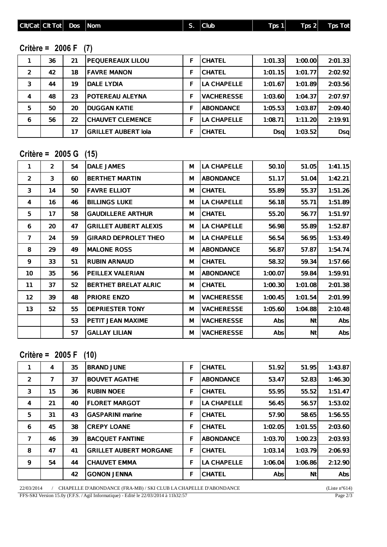| <b>Cit/Cat Cit Tot</b> | <b>Dos</b> | <b>Nom</b> | . . | <b>SUD</b> | <b>Tps</b> | Tps 21 | <b>Tot</b> |
|------------------------|------------|------------|-----|------------|------------|--------|------------|

## **Critère = 2006 F (7)**

|                | 36 | 21 | <b>PEQUEREAUX LILOU</b>    | F | <b>CHATEL</b>     | 1:01.33    | 1:00.00 | 2:01.33 |
|----------------|----|----|----------------------------|---|-------------------|------------|---------|---------|
| $\overline{2}$ | 42 | 18 | <b>FAVRE MANON</b>         | F | <b>CHATEL</b>     | 1:01.15    | 1:01.77 | 2:02.92 |
| 3              | 44 | 19 | <b>DALE LYDIA</b>          | F | LA CHAPELLE       | 1:01.67    | 1:01.89 | 2:03.56 |
| 4              | 48 | 23 | <b>POTEREAU ALEYNA</b>     | F | <b>VACHERESSE</b> | 1:03.60    | 1:04.37 | 2:07.97 |
| 5              | 50 | 20 | <b>IDUGGAN KATIE</b>       | F | <b>ABONDANCE</b>  | 1:05.53    | 1:03.87 | 2:09.40 |
| 6              | 56 | 22 | <b>CHAUVET CLEMENCE</b>    |   | LA CHAPELLE       | 1:08.71    | 1:11.20 | 2:19.91 |
|                |    | 17 | <b>GRILLET AUBERT lola</b> | F | <b>CHATEL</b>     | <b>Dsa</b> | 1:03.52 | DSq     |

## **Critère = 2005 G (15)**

| 1                 | $\overline{2}$ | 54 | <b>DALE JAMES</b>            | М | <b>LA CHAPELLE</b> | 50.10   | 51.05     | 1:41.15        |
|-------------------|----------------|----|------------------------------|---|--------------------|---------|-----------|----------------|
| $\overline{2}$    | 3              | 60 | <b>BERTHET MARTIN</b>        | м | <b>ABONDANCE</b>   | 51.17   | 51.04     | 1:42.21        |
| 3                 | 14             | 50 | <b>FAVRE ELLIOT</b>          | м | <b>CHATEL</b>      | 55.89   | 55.37     | 1:51.26        |
| 4                 | 16             | 46 | <b>BILLINGS LUKE</b>         | М | <b>LA CHAPELLE</b> | 56.18   | 55.71     | 1:51.89        |
| 5                 | 17             | 58 | <b>GAUDILLERE ARTHUR</b>     | М | <b>CHATEL</b>      | 55.20   | 56.77     | 1:51.97        |
| 6                 | 20             | 47 | <b>GRILLET AUBERT ALEXIS</b> | М | <b>LA CHAPELLE</b> | 56.98   | 55.89     | 1:52.87        |
| $\overline{ }$    | 24             | 59 | <b>GIRARD DEPROLET THEO</b>  | м | LA CHAPELLE        | 56.54   | 56.95     | 1:53.49        |
| 8                 | 29             | 49 | <b>MALONE ROSS</b>           | м | <b>ABONDANCE</b>   | 56.87   | 57.87     | 1:54.74        |
| 9                 | 33             | 51 | <b>RUBIN ARNAUD</b>          | М | <b>CHATEL</b>      | 58.32   | 59.34     | 1:57.66        |
| 10                | 35             | 56 | <b>PEILLEX VALERIAN</b>      | М | <b>ABONDANCE</b>   | 1:00.07 | 59.84     | 1:59.91        |
| 11                | 37             | 52 | <b>BERTHET BRELAT ALRIC</b>  | М | <b>CHATEL</b>      | 1:00.30 | 1:01.08   | 2:01.38        |
| $12 \overline{ }$ | 39             | 48 | <b>PRIORE ENZO</b>           | м | <b>VACHERESSE</b>  | 1:00.45 | 1:01.54   | 2:01.99        |
| 13                | 52             | 55 | <b>DEPRIESTER TONY</b>       | М | <b>VACHERESSE</b>  | 1:05.60 | 1:04.88   | 2:10.48        |
|                   |                | 53 | PETIT JEAN MAXIME            | М | <b>VACHERESSE</b>  | Abs     | <b>Nt</b> | Abs            |
|                   |                | 57 | <b>GALLAY LILIAN</b>         | М | <b>VACHERESSE</b>  | Abs     | <b>Nt</b> | $\mathsf{Abs}$ |

**Critère = 2005 F (10)**

| 1              | 4  | 35 | <b>BRAND JUNE</b>             | F | <b>CHATEL</b>      | 51.92   | 51.95          | 1:43.87 |
|----------------|----|----|-------------------------------|---|--------------------|---------|----------------|---------|
| $\overline{2}$ | 7  | 37 | <b>BOUVET AGATHE</b>          | F | <b>ABONDANCE</b>   | 53.47   | 52.83          | 1:46.30 |
| 3              | 15 | 36 | <b>RUBIN NOEE</b>             | F | <b>CHATEL</b>      | 55.95   | 55.52          | 1:51.47 |
| 4              | 21 | 40 | <b>FLORET MARGOT</b>          | F | <b>LA CHAPELLE</b> | 56.45   | 56.57          | 1:53.02 |
| 5              | 31 | 43 | <b>GASPARINI marine</b>       | F | <b>CHATEL</b>      | 57.90   | 58.65          | 1:56.55 |
| 6              | 45 | 38 | <b>CREPY LOANE</b>            | F | <b>CHATEL</b>      | 1:02.05 | 1:01.55        | 2:03.60 |
| $\overline{ }$ | 46 | 39 | <b>BACQUET FANTINE</b>        | F | <b>ABONDANCE</b>   | 1:03.70 | 1:00.23        | 2:03.93 |
| 8              | 47 | 41 | <b>GRILLET AUBERT MORGANE</b> | F | <b>CHATEL</b>      | 1:03.14 | 1:03.79        | 2:06.93 |
| 9              | 54 | 44 | <b>CHAUVET EMMA</b>           | F | <b>LA CHAPELLE</b> | 1:06.04 | 1:06.86        | 2:12.90 |
|                |    | 42 | <b>GONON JENNA</b>            | F | <b>CHATEL</b>      | Abs     | N <sub>t</sub> | Absl    |

22/03/2014 / CHAPELLE D'ABONDANCE (FRA-MB) / SKI CLUB LA CHAPELLE D'ABONDANCE (Liste n°614) FFS-SKI Version 15.0y (F.F.S. / Agil Informatique) - Edité le 22/03/2014 à 11h32:57 Page 2/3